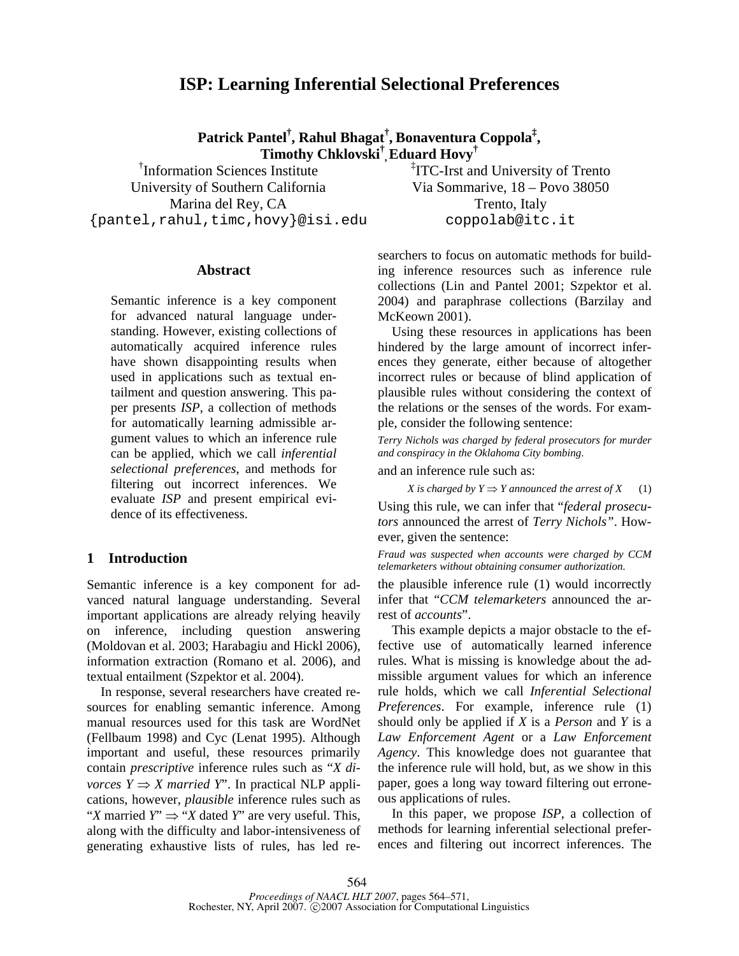# **ISP: Learning Inferential Selectional Preferences**

**Patrick Pantel† , Rahul Bhagat† , Bonaventura Coppola‡ , Timothy Chklovski† ,Eduard Hovy†**

† Information Sciences Institute University of Southern California Marina del Rey, CA {pantel,rahul,timc,hovy}@isi.edu ‡ ITC-Irst and University of Trento Via Sommarive, 18 – Povo 38050 Trento, Italy coppolab@itc.it

## **Abstract**

Semantic inference is a key component for advanced natural language understanding. However, existing collections of automatically acquired inference rules have shown disappointing results when used in applications such as textual entailment and question answering. This paper presents *ISP*, a collection of methods for automatically learning admissible argument values to which an inference rule can be applied, which we call *inferential selectional preferences*, and methods for filtering out incorrect inferences. We evaluate *ISP* and present empirical evidence of its effectiveness.

# **1 Introduction**

Semantic inference is a key component for advanced natural language understanding. Several important applications are already relying heavily on inference, including question answering (Moldovan et al. 2003; Harabagiu and Hickl 2006), information extraction (Romano et al. 2006), and textual entailment (Szpektor et al. 2004).

In response, several researchers have created resources for enabling semantic inference. Among manual resources used for this task are WordNet (Fellbaum 1998) and Cyc (Lenat 1995). Although important and useful, these resources primarily contain *prescriptive* inference rules such as "*X divorces*  $Y \Rightarrow X$  *married*  $Y$ <sup>"</sup>. In practical NLP applications, however, *plausible* inference rules such as "*X* married *Y*" ⇒ "*X* dated *Y*" are very useful. This, along with the difficulty and labor-intensiveness of generating exhaustive lists of rules, has led researchers to focus on automatic methods for building inference resources such as inference rule collections (Lin and Pantel 2001; Szpektor et al. 2004) and paraphrase collections (Barzilay and McKeown 2001).

Using these resources in applications has been hindered by the large amount of incorrect inferences they generate, either because of altogether incorrect rules or because of blind application of plausible rules without considering the context of the relations or the senses of the words. For example, consider the following sentence:

*Terry Nichols was charged by federal prosecutors for murder and conspiracy in the Oklahoma City bombing*.

and an inference rule such as:

*X* is charged by  $Y \Rightarrow Y$  announced the arrest of  $X$  (1) Using this rule, we can infer that "*federal prosecutors* announced the arrest of *Terry Nichols"*. However, given the sentence:

*Fraud was suspected when accounts were charged by CCM telemarketers without obtaining consumer authorization.* 

the plausible inference rule (1) would incorrectly infer that "*CCM telemarketers* announced the arrest of *accounts*".

This example depicts a major obstacle to the effective use of automatically learned inference rules. What is missing is knowledge about the admissible argument values for which an inference rule holds, which we call *Inferential Selectional Preferences*. For example, inference rule (1) should only be applied if *X* is a *Person* and *Y* is a *Law Enforcement Agent* or a *Law Enforcement Agency*. This knowledge does not guarantee that the inference rule will hold, but, as we show in this paper, goes a long way toward filtering out erroneous applications of rules.

In this paper, we propose *ISP*, a collection of methods for learning inferential selectional preferences and filtering out incorrect inferences. The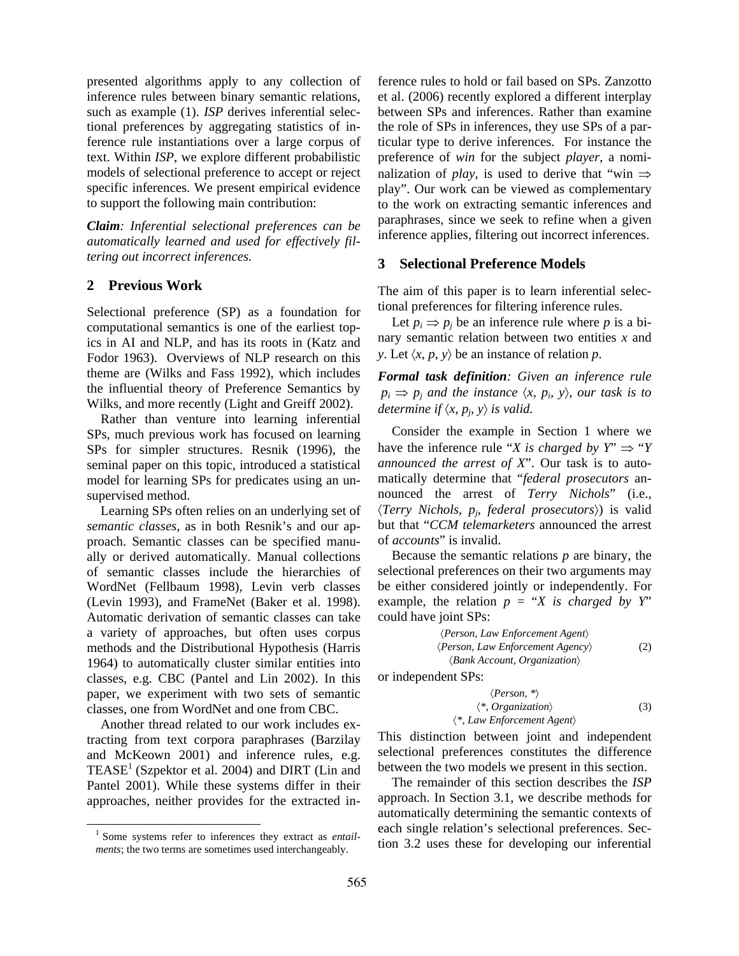presented algorithms apply to any collection of inference rules between binary semantic relations, such as example (1). *ISP* derives inferential selectional preferences by aggregating statistics of inference rule instantiations over a large corpus of text. Within *ISP*, we explore different probabilistic models of selectional preference to accept or reject specific inferences. We present empirical evidence to support the following main contribution:

*Claim: Inferential selectional preferences can be automatically learned and used for effectively filtering out incorrect inferences.*

# **2 Previous Work**

Selectional preference (SP) as a foundation for computational semantics is one of the earliest topics in AI and NLP, and has its roots in (Katz and Fodor 1963). Overviews of NLP research on this theme are (Wilks and Fass 1992), which includes the influential theory of Preference Semantics by Wilks, and more recently (Light and Greiff 2002).

Rather than venture into learning inferential SPs, much previous work has focused on learning SPs for simpler structures. Resnik (1996), the seminal paper on this topic, introduced a statistical model for learning SPs for predicates using an unsupervised method.

Learning SPs often relies on an underlying set of *semantic classes*, as in both Resnik's and our approach. Semantic classes can be specified manually or derived automatically. Manual collections of semantic classes include the hierarchies of WordNet (Fellbaum 1998), Levin verb classes (Levin 1993), and FrameNet (Baker et al. 1998). Automatic derivation of semantic classes can take a variety of approaches, but often uses corpus methods and the Distributional Hypothesis (Harris 1964) to automatically cluster similar entities into classes, e.g. CBC (Pantel and Lin 2002). In this paper, we experiment with two sets of semantic classes, one from WordNet and one from CBC.

Another thread related to our work includes extracting from text corpora paraphrases (Barzilay and McKeown 2001) and inference rules, e.g. TEASE<sup>1</sup> (Szpektor et al. 2004) and DIRT (Lin and Pantel 2001). While these systems differ in their approaches, neither provides for the extracted inference rules to hold or fail based on SPs. Zanzotto et al. (2006) recently explored a different interplay between SPs and inferences. Rather than examine the role of SPs in inferences, they use SPs of a particular type to derive inferences. For instance the preference of *win* for the subject *player*, a nominalization of *play*, is used to derive that "win  $\Rightarrow$ play". Our work can be viewed as complementary to the work on extracting semantic inferences and paraphrases, since we seek to refine when a given inference applies, filtering out incorrect inferences.

# **3 Selectional Preference Models**

The aim of this paper is to learn inferential selectional preferences for filtering inference rules.

Let  $p_i \Rightarrow p_j$  be an inference rule where p is a binary semantic relation between two entities *x* and *y*. Let  $\langle x, p, y \rangle$  be an instance of relation *p*.

*Formal task definition: Given an inference rule*   $p_i \Rightarrow p_j$  and the instance  $\langle x, p_i, y \rangle$ , our task is to *determine if*  $\langle x, p_j, y \rangle$  *is valid.* 

Consider the example in Section 1 where we have the inference rule "*X* is charged by  $Y \implies "Y$ *announced the arrest of X*". Our task is to automatically determine that "*federal prosecutors* announced the arrest of *Terry Nichols*" (i.e., 〈*Terry Nichols*, *pj*, *federal prosecutors*〉) is valid but that "*CCM telemarketers* announced the arrest of *accounts*" is invalid.

Because the semantic relations *p* are binary, the selectional preferences on their two arguments may be either considered jointly or independently. For example, the relation  $p = 'X$  is charged by Y' could have joint SPs:

〈*Person, Law Enforcement Agent*〉 〈*Person, Law Enforcement Agency*〉 (2) 〈*Bank Account, Organization*〉

or independent SPs:

$$
\langle Person, * \rangle
$$
  

$$
\langle * , Organization \rangle
$$
  

$$
\langle * , Law\,Enforcement\,Agent \rangle
$$
 (3)

This distinction between joint and independent selectional preferences constitutes the difference between the two models we present in this section.

The remainder of this section describes the *ISP* approach. In Section 3.1, we describe methods for automatically determining the semantic contexts of each single relation's selectional preferences. Section 3.2 uses these for developing our inferential

<sup>&</sup>lt;sup>1</sup> Some systems refer to inferences they extract as *entailments*; the two terms are sometimes used interchangeably.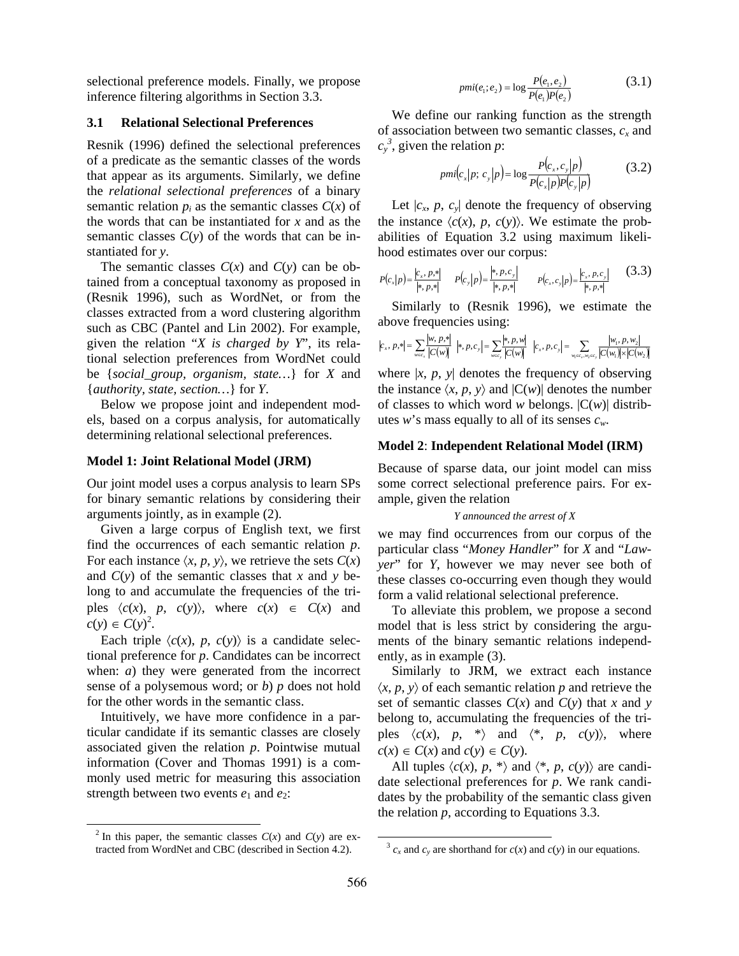selectional preference models. Finally, we propose inference filtering algorithms in Section 3.3.

# **3.1 Relational Selectional Preferences**

Resnik (1996) defined the selectional preferences of a predicate as the semantic classes of the words that appear as its arguments. Similarly, we define the *relational selectional preferences* of a binary semantic relation  $p_i$  as the semantic classes  $C(x)$  of the words that can be instantiated for *x* and as the semantic classes  $C(y)$  of the words that can be instantiated for *y*.

The semantic classes  $C(x)$  and  $C(y)$  can be obtained from a conceptual taxonomy as proposed in (Resnik 1996), such as WordNet, or from the classes extracted from a word clustering algorithm such as CBC (Pantel and Lin 2002). For example, given the relation "*X is charged by Y*", its relational selection preferences from WordNet could be {*social\_group, organism, state…*} for *X* and {*authority, state, section…*} for *Y*.

Below we propose joint and independent models, based on a corpus analysis, for automatically determining relational selectional preferences.

## **Model 1: Joint Relational Model (JRM)**

Our joint model uses a corpus analysis to learn SPs for binary semantic relations by considering their arguments jointly, as in example (2).

Given a large corpus of English text, we first find the occurrences of each semantic relation *p*. For each instance  $\langle x, p, y \rangle$ , we retrieve the sets  $C(x)$ and  $C(y)$  of the semantic classes that *x* and *y* belong to and accumulate the frequencies of the triples  $\langle c(x), p, c(y) \rangle$ , where  $c(x) \in C(x)$  and  $c(y) \in C(y)^2$ .

Each triple  $\langle c(x), p, c(y) \rangle$  is a candidate selectional preference for *p*. Candidates can be incorrect when: *a*) they were generated from the incorrect sense of a polysemous word; or *b*) *p* does not hold for the other words in the semantic class.

Intuitively, we have more confidence in a particular candidate if its semantic classes are closely associated given the relation *p*. Pointwise mutual information (Cover and Thomas 1991) is a commonly used metric for measuring this association strength between two events  $e_1$  and  $e_2$ :

$$
pmi(e_1; e_2) = \log \frac{P(e_1, e_2)}{P(e_1)P(e_2)}
$$
(3.1)

We define our ranking function as the strength of association between two semantic classes,  $c<sub>x</sub>$  and  $c_y^3$ , given the relation *p*:

$$
pmi(c_x|p; c_y|p) = \log \frac{P(c_x, c_y|p)}{P(c_x|p)P(c_y|p)}
$$
(3.2)

Let  $|c_x, p, c_y|$  denote the frequency of observing the instance  $\langle c(x), p, c(y) \rangle$ . We estimate the probabilities of Equation 3.2 using maximum likelihood estimates over our corpus:

$$
P(c_x|p) = \frac{|c_x, p, *|}{|*, p, *|} \qquad P(c_y|p) = \frac{|*, p, c_y|}{|*, p, *|} \qquad P(c_x, c_y|p) = \frac{|c_x, p, c_y|}{|*, p, *|} \qquad (3.3)
$$

Similarly to (Resnik 1996), we estimate the above frequencies using:

$$
\left|c_{\text{x}}, p, \ast\right|=\sum_{\text{w}\in c_{\text{x}}}\frac{\left|w, p, \ast\right|}{\left|C(w)\right|}\ \left|\ast, p, c_{\text{y}}\right|=\sum_{\text{w}\in c_{\text{y}}}\frac{\left|\ast, p, w\right|}{\left|C(w)\right|}\ \left|c_{\text{x}}, p, c_{\text{y}}\right|=\sum_{\text{w}_\text{i}\in c_{\text{x}}, w_2\in c_{\text{y}}}\frac{\left|w_{\text{i}}, p, w_2\right|}{\left|C(w_1)\right|\times\left|C(w_2)\right|}
$$

where  $|x, p, y|$  denotes the frequency of observing the instance  $\langle x, p, y \rangle$  and  $|C(w)|$  denotes the number of classes to which word *w* belongs. |C(*w*)| distributes *w*'s mass equally to all of its senses *cw*.

## **Model 2**: **Independent Relational Model (IRM)**

Because of sparse data, our joint model can miss some correct selectional preference pairs. For example, given the relation

#### *Y announced the arrest of X*

we may find occurrences from our corpus of the particular class "*Money Handler*" for *X* and "*Lawyer*" for *Y*, however we may never see both of these classes co-occurring even though they would form a valid relational selectional preference.

To alleviate this problem, we propose a second model that is less strict by considering the arguments of the binary semantic relations independently, as in example (3).

Similarly to JRM, we extract each instance  $\langle x, p, y \rangle$  of each semantic relation p and retrieve the set of semantic classes  $C(x)$  and  $C(y)$  that *x* and *y* belong to, accumulating the frequencies of the triples  $\langle c(x), p, * \rangle$  and  $\langle *, p, c(y) \rangle$ , where  $c(x) \in C(x)$  and  $c(y) \in C(y)$ .

All tuples  $\langle c(x), p, * \rangle$  and  $\langle *, p, c(y) \rangle$  are candidate selectional preferences for *p*. We rank candidates by the probability of the semantic class given the relation *p*, according to Equations 3.3.

 $\frac{2}{x}$  In this paper, the semantic classes  $C(x)$  and  $C(y)$  are extracted from WordNet and CBC (described in Section 4.2).

 $3 c_x$  and  $c_y$  are shorthand for  $c(x)$  and  $c(y)$  in our equations.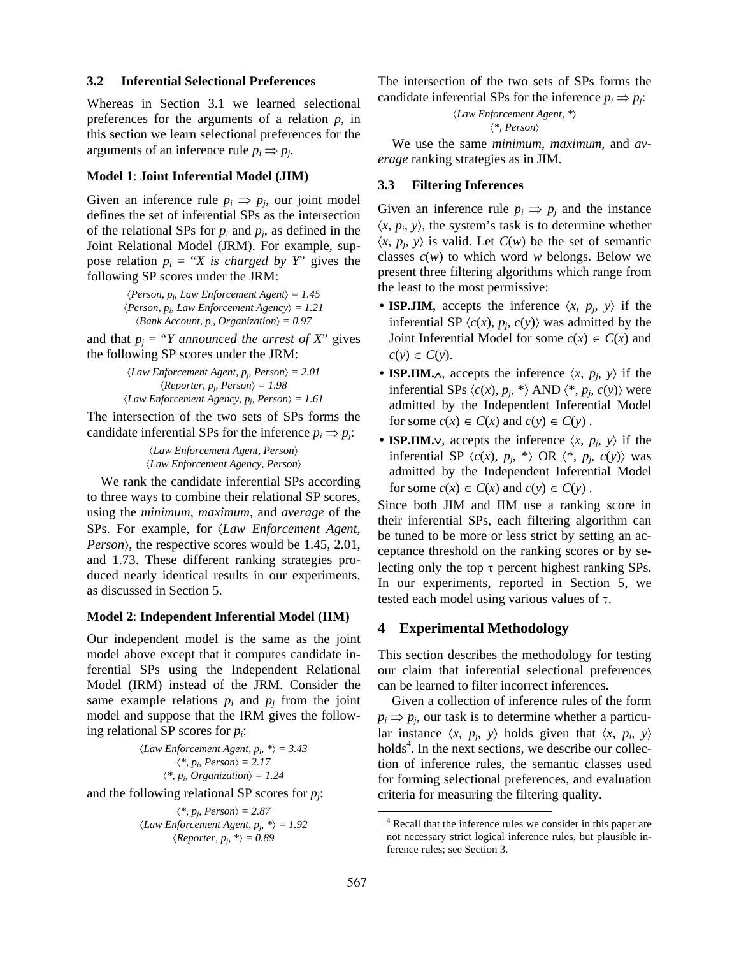## **3.2 Inferential Selectional Preferences**

Whereas in Section 3.1 we learned selectional preferences for the arguments of a relation *p*, in this section we learn selectional preferences for the arguments of an inference rule  $p_i \Rightarrow p_j$ .

#### **Model 1**: **Joint Inferential Model (JIM)**

Given an inference rule  $p_i \Rightarrow p_j$ , our joint model defines the set of inferential SPs as the intersection of the relational SPs for  $p_i$  and  $p_j$ , as defined in the Joint Relational Model (JRM). For example, suppose relation  $p_i = "X$  is *charged by Y*" gives the following SP scores under the JRM:

> $\langle Person, p_i, Law\,Enforcement\,Agent \rangle = 1.45$  $\langle Person, p_i, Law\,Information\,A\,gen\,c \rangle = 1.21$  $\langle Bank Account, p_i, Organization \rangle = 0.97$

and that  $p_i = "Y$  *announced the arrest of X*" gives the following SP scores under the JRM:

> 〈*Law Enforcement Agent, pj, Person*〉 *= 2.01*   $\langle$ *Reporter, p<sub>j</sub>, Person* $\rangle = 1.98$  $\langle Law\,Enforcement\ Agency, p_i, Person \rangle = 1.61$

The intersection of the two sets of SPs forms the candidate inferential SPs for the inference  $p_i \Rightarrow p_j$ :

> 〈*Law Enforcement Agent, Person*〉 〈*Law Enforcement Agency, Person*〉

We rank the candidate inferential SPs according to three ways to combine their relational SP scores, using the *minimum*, *maximum*, and *average* of the SPs. For example, for 〈*Law Enforcement Agent, Person*), the respective scores would be 1.45, 2.01, and 1.73. These different ranking strategies produced nearly identical results in our experiments, as discussed in Section 5.

#### **Model 2**: **Independent Inferential Model (IIM)**

Our independent model is the same as the joint model above except that it computes candidate inferential SPs using the Independent Relational Model (IRM) instead of the JRM. Consider the same example relations  $p_i$  and  $p_j$  from the joint model and suppose that the IRM gives the following relational SP scores for *pi*:

> $\langle Law\,Enforcement\,Agent, p_i, *\rangle = 3.43$  $\langle * , p_i, Person \rangle = 2.17$  $\langle * , p_i, Organization \rangle = 1.24$

and the following relational SP scores for *pj*:

 $\langle * , p_i, Person \rangle = 2.87$  $\langle Law\,Enforcement\,Agent, p_i, *\rangle = 1.92$  $\langle$ *Reporter, p<sub>i</sub>, \** $\rangle$  = 0.89

The intersection of the two sets of SPs forms the candidate inferential SPs for the inference  $p_i \Rightarrow p_j$ :

> 〈*Law Enforcement Agent, \**〉 〈*\*, Person*〉

We use the same *minimum*, *maximum*, and *average* ranking strategies as in JIM.

# **3.3 Filtering Inferences**

Given an inference rule  $p_i \Rightarrow p_j$  and the instance  $\langle x, p_i, y \rangle$ , the system's task is to determine whether  $\langle x, p_i, y \rangle$  is valid. Let  $C(w)$  be the set of semantic classes *c*(*w*) to which word *w* belongs. Below we present three filtering algorithms which range from the least to the most permissive:

- **ISP.JIM**, accepts the inference  $\langle x, p_j, y \rangle$  if the inferential SP  $\langle c(x), p_j, c(y) \rangle$  was admitted by the Joint Inferential Model for some  $c(x) \in C(x)$  and  $c(y) \in C(y)$ .
- **ISP.IIM.** $\wedge$ , accepts the inference  $\langle x, p_j, y \rangle$  if the inferential SPs  $\langle c(x), p_j, * \rangle$  AND  $\langle *, p_j, c(y) \rangle$  were admitted by the Independent Inferential Model for some  $c(x) \in C(x)$  and  $c(y) \in C(y)$ .
- **ISP.IIM.** $\vee$ , accepts the inference  $\langle x, p_j, y \rangle$  if the inferential SP  $\langle c(x), p_j, * \rangle$  OR  $\langle *, p_j, c(y) \rangle$  was admitted by the Independent Inferential Model for some  $c(x) \in C(x)$  and  $c(y) \in C(y)$ .

Since both JIM and IIM use a ranking score in their inferential SPs, each filtering algorithm can be tuned to be more or less strict by setting an acceptance threshold on the ranking scores or by selecting only the top  $\tau$  percent highest ranking SPs. In our experiments, reported in Section 5, we tested each model using various values of  $\tau$ .

## **4 Experimental Methodology**

This section describes the methodology for testing our claim that inferential selectional preferences can be learned to filter incorrect inferences.

Given a collection of inference rules of the form  $p_i \Rightarrow p_j$ , our task is to determine whether a particular instance  $\langle x, p_j, y \rangle$  holds given that  $\langle x, p_i, y \rangle$ holds<sup>4</sup>. In the next sections, we describe our collection of inference rules, the semantic classes used for forming selectional preferences, and evaluation criteria for measuring the filtering quality.

 <sup>4</sup> Recall that the inference rules we consider in this paper are not necessary strict logical inference rules, but plausible inference rules; see Section 3.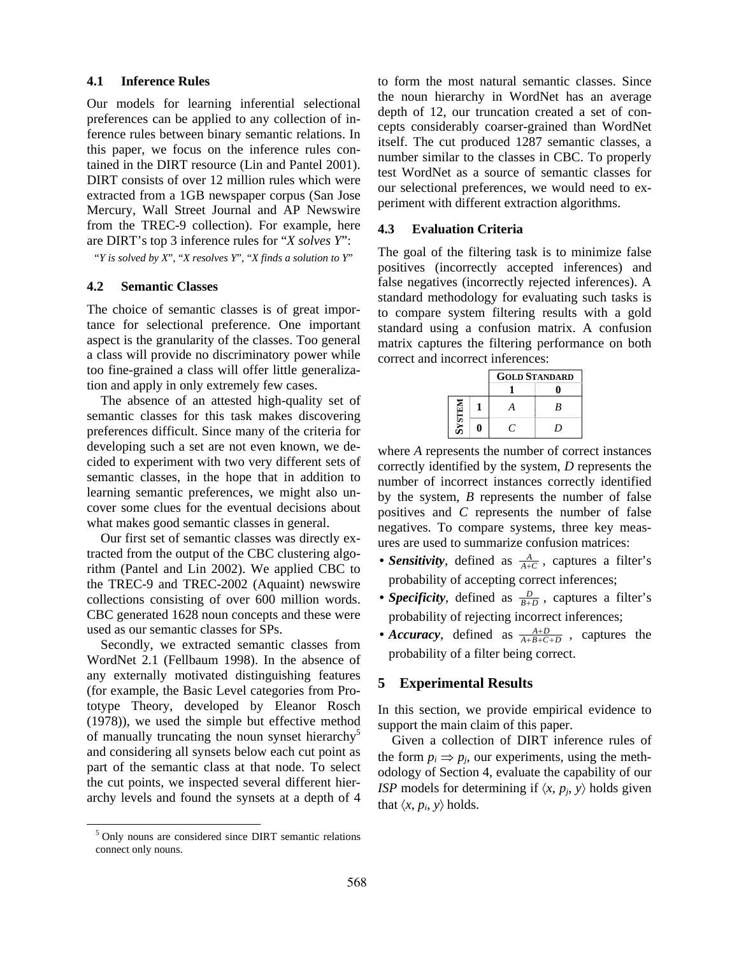## **4.1 Inference Rules**

Our models for learning inferential selectional preferences can be applied to any collection of inference rules between binary semantic relations. In this paper, we focus on the inference rules contained in the DIRT resource (Lin and Pantel 2001). DIRT consists of over 12 million rules which were extracted from a 1GB newspaper corpus (San Jose Mercury, Wall Street Journal and AP Newswire from the TREC-9 collection). For example, here are DIRT's top 3 inference rules for "*X solves Y*":

"*Y is solved by X*", "*X resolves Y*", "*X finds a solution to Y*"

## **4.2 Semantic Classes**

The choice of semantic classes is of great importance for selectional preference. One important aspect is the granularity of the classes. Too general a class will provide no discriminatory power while too fine-grained a class will offer little generalization and apply in only extremely few cases.

The absence of an attested high-quality set of semantic classes for this task makes discovering preferences difficult. Since many of the criteria for developing such a set are not even known, we decided to experiment with two very different sets of semantic classes, in the hope that in addition to learning semantic preferences, we might also uncover some clues for the eventual decisions about what makes good semantic classes in general.

Our first set of semantic classes was directly extracted from the output of the CBC clustering algorithm (Pantel and Lin 2002). We applied CBC to the TREC-9 and TREC-2002 (Aquaint) newswire collections consisting of over 600 million words. CBC generated 1628 noun concepts and these were used as our semantic classes for SPs.

Secondly, we extracted semantic classes from WordNet 2.1 (Fellbaum 1998). In the absence of any externally motivated distinguishing features (for example, the Basic Level categories from Prototype Theory, developed by Eleanor Rosch (1978)), we used the simple but effective method of manually truncating the noun synset hierarchy<sup>5</sup> and considering all synsets below each cut point as part of the semantic class at that node. To select the cut points, we inspected several different hierarchy levels and found the synsets at a depth of 4

to form the most natural semantic classes. Since the noun hierarchy in WordNet has an average depth of 12, our truncation created a set of concepts considerably coarser-grained than WordNet itself. The cut produced 1287 semantic classes, a number similar to the classes in CBC. To properly test WordNet as a source of semantic classes for our selectional preferences, we would need to experiment with different extraction algorithms.

#### **4.3 Evaluation Criteria**

The goal of the filtering task is to minimize false positives (incorrectly accepted inferences) and false negatives (incorrectly rejected inferences). A standard methodology for evaluating such tasks is to compare system filtering results with a gold standard using a confusion matrix. A confusion matrix captures the filtering performance on both correct and incorrect inferences:

|               | <b>GOLD STANDARD</b> |    |  |  |
|---------------|----------------------|----|--|--|
|               |                      |    |  |  |
| <b>NELISA</b> |                      | B  |  |  |
|               |                      | ,, |  |  |

where *A* represents the number of correct instances correctly identified by the system, *D* represents the number of incorrect instances correctly identified by the system, *B* represents the number of false positives and *C* represents the number of false negatives. To compare systems, three key measures are used to summarize confusion matrices:

- *Sensitivity*, defined as  $\frac{A}{A+C}$ , captures a filter's probability of accepting correct inferences;
- *Specificity*, defined as  $\frac{D}{B+D}$ , captures a filter's probability of rejecting incorrect inferences;
- *Accuracy*, defined as  $\frac{A+D}{A+B+C+D}$ , captures the probability of a filter being correct.

# **5 Experimental Results**

In this section, we provide empirical evidence to support the main claim of this paper.

Given a collection of DIRT inference rules of the form  $p_i \Rightarrow p_j$ , our experiments, using the methodology of Section 4, evaluate the capability of our *ISP* models for determining if  $\langle x, p_j, y \rangle$  holds given that  $\langle x, p_i, y \rangle$  holds.

 <sup>5</sup> Only nouns are considered since DIRT semantic relations connect only nouns.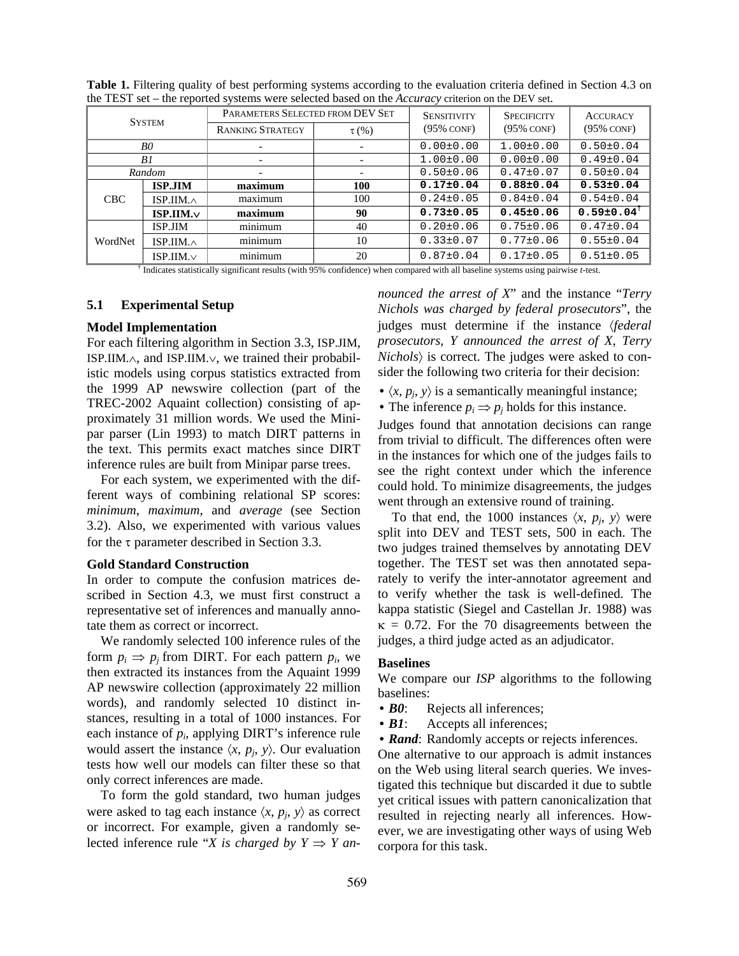| <b>SYSTEM</b> |                   | PARAMETERS SELECTED FROM DEV SET |                          | <b>SENSITIVITY</b> | <b>SPECIFICITY</b> | <b>ACCURACY</b>              |
|---------------|-------------------|----------------------------------|--------------------------|--------------------|--------------------|------------------------------|
|               |                   | <b>RANKING STRATEGY</b>          | $\tau$ (%)               | $(95\%$ CONF)      | $(95\%$ CONF)      | $(95\%$ CONF)                |
| B0            |                   |                                  | $\overline{\phantom{a}}$ | $0.00 \pm 0.00$    | $1.00 \pm 0.00$    | $0.50 \pm 0.04$              |
| B1            |                   |                                  |                          | $1.00 \pm 0.00$    | $0.00 \pm 0.00$    | $0.49 \pm 0.04$              |
| Random        |                   |                                  |                          | $0.50 \pm 0.06$    | $0.47 \pm 0.07$    | $0.50 \pm 0.04$              |
| <b>CBC</b>    | <b>ISP.JIM</b>    | maximum                          | 100                      | $0.17 \pm 0.04$    | $0.88 \pm 0.04$    | $0.53 \pm 0.04$              |
|               | ISP.IIM. $\wedge$ | maximum                          | 100                      | $0.24 \pm 0.05$    | $0.84 \pm 0.04$    | $0.54 \pm 0.04$              |
|               | $ISP. I/M. v$     | maximum                          | 90                       | $0.73 \pm 0.05$    | $0.45 \pm 0.06$    | $0.59 \pm 0.04$ <sup>†</sup> |
| WordNet       | <b>ISP.JIM</b>    | minimum                          | 40                       | $0.20 \pm 0.06$    | $0.75 \pm 0.06$    | $0.47 \pm 0.04$              |
|               | ISP.IIM. $\wedge$ | minimum                          | 10                       | $0.33\pm0.07$      | $0.77 \pm 0.06$    | $0.55 \pm 0.04$              |
|               | $ISP.IIM.\vee$    | minimum                          | 20                       | $0.87 \pm 0.04$    | $0.17 \pm 0.05$    | $0.51 \pm 0.05$              |

**Table 1.** Filtering quality of best performing systems according to the evaluation criteria defined in Section 4.3 on the TEST set – the reported systems were selected based on the *Accuracy* criterion on the DEV set.

† Indicates statistically significant results (with 95% confidence) when compared with all baseline systems using pairwise *t*-test.

#### **5.1 Experimental Setup**

## **Model Implementation**

For each filtering algorithm in Section 3.3, ISP.JIM, ISP.IIM.∧, and ISP.IIM.∨, we trained their probabilistic models using corpus statistics extracted from the 1999 AP newswire collection (part of the TREC-2002 Aquaint collection) consisting of approximately 31 million words. We used the Minipar parser (Lin 1993) to match DIRT patterns in the text. This permits exact matches since DIRT inference rules are built from Minipar parse trees.

For each system, we experimented with the different ways of combining relational SP scores: *minimum*, *maximum*, and *average* (see Section 3.2). Also, we experimented with various values for the τ parameter described in Section 3.3.

## **Gold Standard Construction**

In order to compute the confusion matrices described in Section 4.3, we must first construct a representative set of inferences and manually annotate them as correct or incorrect.

We randomly selected 100 inference rules of the form  $p_i \Rightarrow p_j$  from DIRT. For each pattern  $p_i$ , we then extracted its instances from the Aquaint 1999 AP newswire collection (approximately 22 million words), and randomly selected 10 distinct instances, resulting in a total of 1000 instances. For each instance of *pi*, applying DIRT's inference rule would assert the instance  $\langle x, p_j, y \rangle$ . Our evaluation tests how well our models can filter these so that only correct inferences are made.

To form the gold standard, two human judges were asked to tag each instance  $\langle x, p_i, y \rangle$  as correct or incorrect. For example, given a randomly selected inference rule "*X* is charged by  $Y \Rightarrow Y$  an*nounced the arrest of X*" and the instance "*Terry Nichols was charged by federal prosecutors*", the judges must determine if the instance 〈*federal prosecutors*, *Y announced the arrest of X*, *Terry Nichols*〉 is correct. The judges were asked to consider the following two criteria for their decision:

- $\langle x, p_j, y \rangle$  is a semantically meaningful instance;
- The inference  $p_i \Rightarrow p_j$  holds for this instance.

Judges found that annotation decisions can range from trivial to difficult. The differences often were in the instances for which one of the judges fails to see the right context under which the inference could hold. To minimize disagreements, the judges went through an extensive round of training.

To that end, the 1000 instances  $\langle x, p_j, y \rangle$  were split into DEV and TEST sets, 500 in each. The two judges trained themselves by annotating DEV together. The TEST set was then annotated separately to verify the inter-annotator agreement and to verify whether the task is well-defined. The kappa statistic (Siegel and Castellan Jr. 1988) was  $\kappa = 0.72$ . For the 70 disagreements between the judges, a third judge acted as an adjudicator.

#### **Baselines**

We compare our *ISP* algorithms to the following baselines:

- **B0**: Rejects all inferences;
- *B1*: Accepts all inferences;
- *Rand*: Randomly accepts or rejects inferences.

One alternative to our approach is admit instances on the Web using literal search queries. We investigated this technique but discarded it due to subtle yet critical issues with pattern canonicalization that resulted in rejecting nearly all inferences. However, we are investigating other ways of using Web corpora for this task.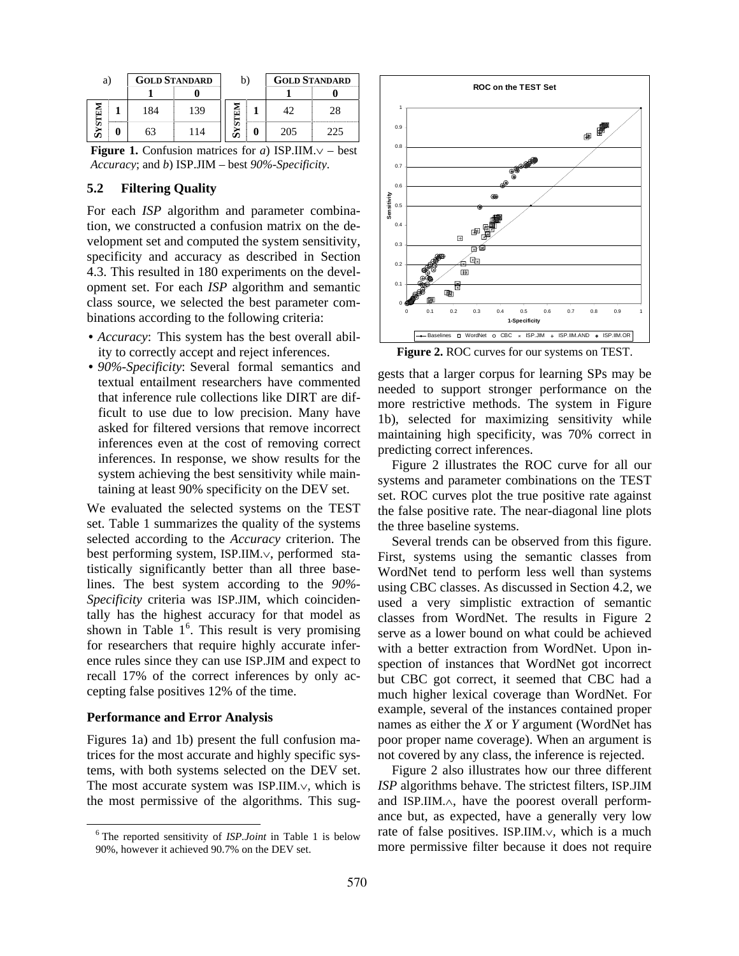| a) |   | <b>GOLD STANDARD</b> |    | b) | <b>GOLD STANDARD</b> |    |
|----|---|----------------------|----|----|----------------------|----|
|    |   |                      |    |    |                      |    |
|    |   | 184                  | 39 |    |                      | 28 |
|    | 3 | 63                   |    |    | 205                  |    |

**Figure 1.** Confusion matrices for *a*) ISP.IIM.∨ – best *Accuracy*; and *b*) ISP.JIM – best *90%-Specificity*.

# **5.2 Filtering Quality**

For each *ISP* algorithm and parameter combination, we constructed a confusion matrix on the development set and computed the system sensitivity, specificity and accuracy as described in Section 4.3. This resulted in 180 experiments on the development set. For each *ISP* algorithm and semantic class source, we selected the best parameter combinations according to the following criteria:

- *Accuracy*: This system has the best overall ability to correctly accept and reject inferences.
- *90%-Specificity*: Several formal semantics and textual entailment researchers have commented that inference rule collections like DIRT are difficult to use due to low precision. Many have asked for filtered versions that remove incorrect inferences even at the cost of removing correct inferences. In response, we show results for the system achieving the best sensitivity while maintaining at least 90% specificity on the DEV set.

We evaluated the selected systems on the TEST set. Table 1 summarizes the quality of the systems selected according to the *Accuracy* criterion. The best performing system, ISP.IIM.∨, performed statistically significantly better than all three baselines. The best system according to the *90%- Specificity* criteria was ISP.JIM, which coincidentally has the highest accuracy for that model as shown in Table  $1<sup>6</sup>$ . This result is very promising for researchers that require highly accurate inference rules since they can use ISP.JIM and expect to recall 17% of the correct inferences by only accepting false positives 12% of the time.

# **Performance and Error Analysis**

Figures 1a) and 1b) present the full confusion matrices for the most accurate and highly specific systems, with both systems selected on the DEV set. The most accurate system was ISP.IIM.∨, which is the most permissive of the algorithms. This sug-



**Figure 2.** ROC curves for our systems on TEST.

gests that a larger corpus for learning SPs may be needed to support stronger performance on the more restrictive methods. The system in Figure 1b), selected for maximizing sensitivity while maintaining high specificity, was 70% correct in predicting correct inferences.

Figure 2 illustrates the ROC curve for all our systems and parameter combinations on the TEST set. ROC curves plot the true positive rate against the false positive rate. The near-diagonal line plots the three baseline systems.

Several trends can be observed from this figure. First, systems using the semantic classes from WordNet tend to perform less well than systems using CBC classes. As discussed in Section 4.2, we used a very simplistic extraction of semantic classes from WordNet. The results in Figure 2 serve as a lower bound on what could be achieved with a better extraction from WordNet. Upon inspection of instances that WordNet got incorrect but CBC got correct, it seemed that CBC had a much higher lexical coverage than WordNet. For example, several of the instances contained proper names as either the *X* or *Y* argument (WordNet has poor proper name coverage). When an argument is not covered by any class, the inference is rejected.

Figure 2 also illustrates how our three different *ISP* algorithms behave. The strictest filters, ISP.JIM and ISP.IIM.∧, have the poorest overall performance but, as expected, have a generally very low rate of false positives. ISP.IIM.∨, which is a much more permissive filter because it does not require

 <sup>6</sup> The reported sensitivity of *ISP.Joint* in Table 1 is below 90%, however it achieved 90.7% on the DEV set.